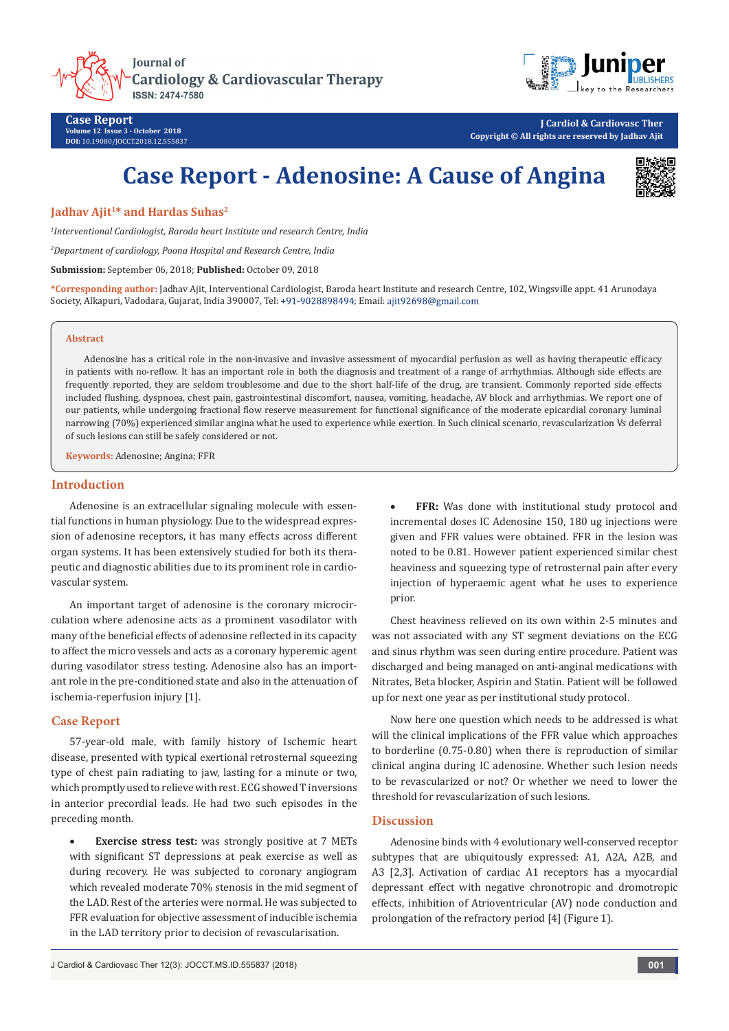**Journal of Cardiology & Cardiovascular Therapy** ISSN: 2474-7580



**J Cardiol & Cardiovasc Ther Copyright © All rights are reserved by Jadhav Ajit**

# **Case Report - Adenosine: A Cause of Angina**



## **Jadhav Ajit1\* and Hardas Suhas2**

*1 Interventional Cardiologist, Baroda heart Institute and research Centre, India*

*2 Department of cardiology, Poona Hospital and Research Centre, India*

**Submission:** September 06, 2018; **Published:** October 09, 2018

**\*Corresponding author:** Jadhav Ajit, Interventional Cardiologist, Baroda heart Institute and research Centre, 102, Wingsville appt. 41 Arunodaya Society, Alkapuri, Vadodara, Gujarat, India 390007, Tel: +91-9028898494; Email: ajit92698@gmail.com

#### **Abstract**

Adenosine has a critical role in the non-invasive and invasive assessment of myocardial perfusion as well as having therapeutic efficacy in patients with no-reflow. It has an important role in both the diagnosis and treatment of a range of arrhythmias. Although side effects are frequently reported, they are seldom troublesome and due to the short half-life of the drug, are transient. Commonly reported side effects included flushing, dyspnoea, chest pain, gastrointestinal discomfort, nausea, vomiting, headache, AV block and arrhythmias. We report one of our patients, while undergoing fractional flow reserve measurement for functional significance of the moderate epicardial coronary luminal narrowing (70%) experienced similar angina what he used to experience while exertion. In Such clinical scenario, revascularization Vs deferral of such lesions can still be safely considered or not.

**Keywords:** Adenosine; Angina; FFR

#### **Introduction**

Adenosine is an extracellular signaling molecule with essential functions in human physiology. Due to the widespread expression of adenosine receptors, it has many effects across different organ systems. It has been extensively studied for both its therapeutic and diagnostic abilities due to its prominent role in cardiovascular system.

An important target of adenosine is the coronary microcirculation where adenosine acts as a prominent vasodilator with many of the beneficial effects of adenosine reflected in its capacity to affect the micro vessels and acts as a coronary hyperemic agent during vasodilator stress testing. Adenosine also has an important role in the pre-conditioned state and also in the attenuation of ischemia-reperfusion injury [1].

### **Case Report**

57-year-old male, with family history of Ischemic heart disease, presented with typical exertional retrosternal squeezing type of chest pain radiating to jaw, lasting for a minute or two, which promptly used to relieve with rest. ECG showed T inversions in anterior precordial leads. He had two such episodes in the preceding month.

**Exercise stress test:** was strongly positive at 7 METs with significant ST depressions at peak exercise as well as during recovery. He was subjected to coronary angiogram which revealed moderate 70% stenosis in the mid segment of the LAD. Rest of the arteries were normal. He was subjected to FFR evaluation for objective assessment of inducible ischemia in the LAD territory prior to decision of revascularisation.

J Cardiol & Cardiovasc Ther 12(3): JOCCT.MS.ID.555837 (2018) **001**

FFR: Was done with institutional study protocol and incremental doses IC Adenosine 150, 180 ug injections were given and FFR values were obtained. FFR in the lesion was noted to be 0.81. However patient experienced similar chest heaviness and squeezing type of retrosternal pain after every injection of hyperaemic agent what he uses to experience prior.

Chest heaviness relieved on its own within 2-5 minutes and was not associated with any ST segment deviations on the ECG and sinus rhythm was seen during entire procedure. Patient was discharged and being managed on anti-anginal medications with Nitrates, Beta blocker, Aspirin and Statin. Patient will be followed up for next one year as per institutional study protocol.

Now here one question which needs to be addressed is what will the clinical implications of the FFR value which approaches to borderline (0.75-0.80) when there is reproduction of similar clinical angina during IC adenosine. Whether such lesion needs to be revascularized or not? Or whether we need to lower the threshold for revascularization of such lesions.

#### **Discussion**

Adenosine binds with 4 evolutionary well-conserved receptor subtypes that are ubiquitously expressed: A1, A2A, A2B, and A3 [2,3]. Activation of cardiac A1 receptors has a myocardial depressant effect with negative chronotropic and dromotropic effects, inhibition of Atrioventricular (AV) node conduction and prolongation of the refractory period [4] (Figure 1).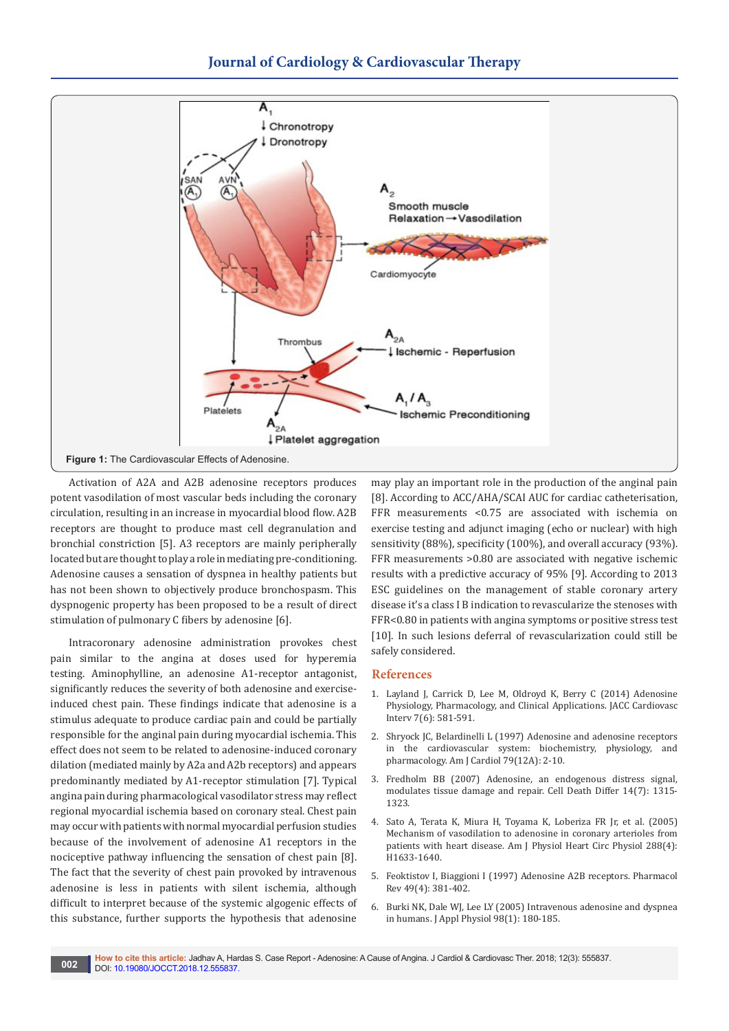

Activation of A2A and A2B adenosine receptors produces potent vasodilation of most vascular beds including the coronary circulation, resulting in an increase in myocardial blood flow. A2B receptors are thought to produce mast cell degranulation and bronchial constriction [5]. A3 receptors are mainly peripherally located but are thought to play a role in mediating pre-conditioning. Adenosine causes a sensation of dyspnea in healthy patients but has not been shown to objectively produce bronchospasm. This dyspnogenic property has been proposed to be a result of direct stimulation of pulmonary C fibers by adenosine [6].

Intracoronary adenosine administration provokes chest pain similar to the angina at doses used for hyperemia testing. Aminophylline, an adenosine A1-receptor antagonist, significantly reduces the severity of both adenosine and exerciseinduced chest pain. These findings indicate that adenosine is a stimulus adequate to produce cardiac pain and could be partially responsible for the anginal pain during myocardial ischemia. This effect does not seem to be related to adenosine-induced coronary dilation (mediated mainly by A2a and A2b receptors) and appears predominantly mediated by A1-receptor stimulation [7]. Typical angina pain during pharmacological vasodilator stress may reflect regional myocardial ischemia based on coronary steal. Chest pain may occur with patients with normal myocardial perfusion studies because of the involvement of adenosine A1 receptors in the nociceptive pathway influencing the sensation of chest pain [8]. The fact that the severity of chest pain provoked by intravenous adenosine is less in patients with silent ischemia, although difficult to interpret because of the systemic algogenic effects of this substance, further supports the hypothesis that adenosine

may play an important role in the production of the anginal pain [8]. According to ACC/AHA/SCAI AUC for cardiac catheterisation, FFR measurements <0.75 are associated with ischemia on exercise testing and adjunct imaging (echo or nuclear) with high sensitivity (88%), specificity (100%), and overall accuracy (93%). FFR measurements >0.80 are associated with negative ischemic results with a predictive accuracy of 95% [9]. According to 2013 ESC guidelines on the management of stable coronary artery disease it's a class I B indication to revascularize the stenoses with FFR<0.80 in patients with angina symptoms or positive stress test [10]. In such lesions deferral of revascularization could still be safely considered.

#### **References**

- 1. [Layland J, Carrick D, Lee M, Oldroyd K, Berry C \(2014\) Adenosine](https://www.ncbi.nlm.nih.gov/pubmed/24835328)  [Physiology, Pharmacology, and Clinical Applications. JACC Cardiovasc](https://www.ncbi.nlm.nih.gov/pubmed/24835328)  [Interv 7\(6\): 581-591.](https://www.ncbi.nlm.nih.gov/pubmed/24835328)
- 2. [Shryock JC, Belardinelli L \(1997\) Adenosine and adenosine receptors](https://www.ncbi.nlm.nih.gov/pubmed/9223356)  [in the cardiovascular system: biochemistry, physiology, and](https://www.ncbi.nlm.nih.gov/pubmed/9223356)  [pharmacology. Am J Cardiol 79\(12A\): 2-10.](https://www.ncbi.nlm.nih.gov/pubmed/9223356)
- 3. [Fredholm BB \(2007\) Adenosine, an endogenous distress signal,](https://www.ncbi.nlm.nih.gov/pubmed/17396131)  [modulates tissue damage and repair. Cell Death Differ 14\(7\): 1315-](https://www.ncbi.nlm.nih.gov/pubmed/17396131) [1323.](https://www.ncbi.nlm.nih.gov/pubmed/17396131)
- 4. [Sato A, Terata K, Miura H, Toyama K, Loberiza FR Jr, et al. \(2005\)](https://www.ncbi.nlm.nih.gov/pubmed/15772334)  [Mechanism of vasodilation to adenosine in coronary arterioles from](https://www.ncbi.nlm.nih.gov/pubmed/15772334)  [patients with heart disease. Am J Physiol Heart Circ Physiol 288\(4\):](https://www.ncbi.nlm.nih.gov/pubmed/15772334)  [H1633-1640.](https://www.ncbi.nlm.nih.gov/pubmed/15772334)
- 5. [Feoktistov I, Biaggioni I \(1997\) Adenosine A2B receptors. Pharmacol](https://www.ncbi.nlm.nih.gov/pubmed/9443164)  [Rev 49\(4\): 381-402.](https://www.ncbi.nlm.nih.gov/pubmed/9443164)
- 6. [Burki NK, Dale WJ, Lee LY \(2005\) Intravenous adenosine and dyspnea](https://www.ncbi.nlm.nih.gov/pubmed/15377651)  [in humans. J Appl Physiol 98\(1\): 180-185.](https://www.ncbi.nlm.nih.gov/pubmed/15377651)